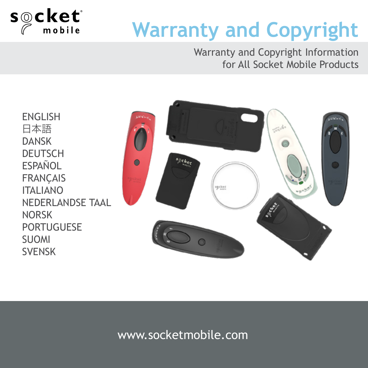

# **Warranty and Copyright**

Warranty and Copyright Information for All Socket Mobile Products

ENGLISH 日本語 DANSK DEUTSCH **ESPAÑOL FRANÇAIS** ITALIANO NEDERLANDSE TAAL NORSK PORTUGUESE SUOMI SVENSK



#### www.socketmobile.com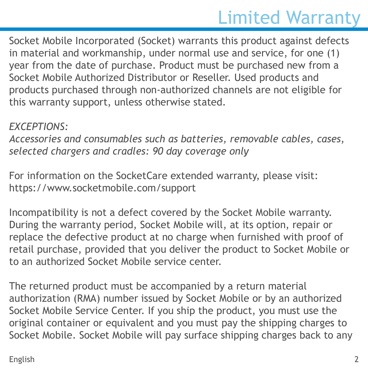## Limited Warranty

Socket Mobile Incorporated (Socket) warrants this product against defects in material and workmanship, under normal use and service, for one (1) year from the date of purchase. Product must be purchased new from a Socket Mobile Authorized Distributor or Reseller. Used products and products purchased through non-authorized channels are not eligible for this warranty support, unless otherwise stated.

#### *EXCEPTIONS:*

*Accessories and consumables such as batteries, removable cables, cases, selected chargers and cradles: 90 day coverage only*

For information on the SocketCare extended warranty, please visit: https://www.socketmobile.com/support

Incompatibility is not a defect covered by the Socket Mobile warranty. During the warranty period, Socket Mobile will, at its option, repair or replace the defective product at no charge when furnished with proof of retail purchase, provided that you deliver the product to Socket Mobile or to an authorized Socket Mobile service center.

The returned product must be accompanied by a return material authorization (RMA) number issued by Socket Mobile or by an authorized Socket Mobile Service Center. If you ship the product, you must use the original container or equivalent and you must pay the shipping charges to Socket Mobile. Socket Mobile will pay surface shipping charges back to any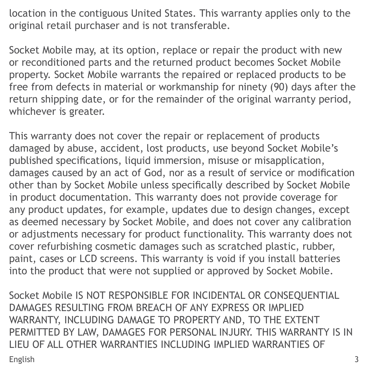location in the contiguous United States. This warranty applies only to the original retail purchaser and is not transferable.

Socket Mobile may, at its option, replace or repair the product with new or reconditioned parts and the returned product becomes Socket Mobile property. Socket Mobile warrants the repaired or replaced products to be free from defects in material or workmanship for ninety (90) days after the return shipping date, or for the remainder of the original warranty period, whichever is greater.

This warranty does not cover the repair or replacement of products damaged by abuse, accident, lost products, use beyond Socket Mobile's published specifications, liquid immersion, misuse or misapplication, damages caused by an act of God, nor as a result of service or modification other than by Socket Mobile unless specifically described by Socket Mobile in product documentation. This warranty does not provide coverage for any product updates, for example, updates due to design changes, except as deemed necessary by Socket Mobile, and does not cover any calibration or adjustments necessary for product functionality. This warranty does not cover refurbishing cosmetic damages such as scratched plastic, rubber, paint, cases or LCD screens. This warranty is void if you install batteries into the product that were not supplied or approved by Socket Mobile.

Socket Mobile IS NOT RESPONSIBLE FOR INCIDENTAL OR CONSEQUENTIAL DAMAGES RESULTING FROM BREACH OF ANY EXPRESS OR IMPLIED WARRANTY, INCLUDING DAMAGE TO PROPERTY AND, TO THE EXTENT PERMITTED BY LAW, DAMAGES FOR PERSONAL INJURY. THIS WARRANTY IS IN LIEU OF ALL OTHER WARRANTIES INCLUDING IMPLIED WARRANTIES OF English 3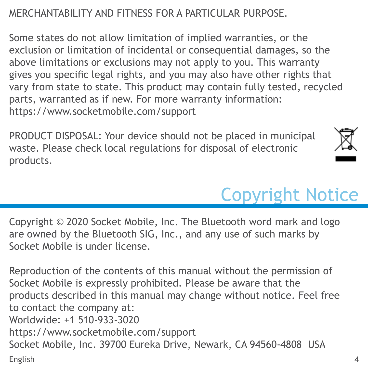#### MERCHANTABILITY AND FITNESS FOR A PARTICULAR PURPOSE.

Some states do not allow limitation of implied warranties, or the exclusion or limitation of incidental or consequential damages, so the above limitations or exclusions may not apply to you. This warranty gives you specific legal rights, and you may also have other rights that vary from state to state. This product may contain fully tested, recycled parts, warranted as if new. For more warranty information: https://www.socketmobile.com/support

PRODUCT DISPOSAL: Your device should not be placed in municipal waste. Please check local regulations for disposal of electronic products.



## Copyright Notice

Copyright © 2020 Socket Mobile, Inc. The Bluetooth word mark and logo are owned by the Bluetooth SIG, Inc., and any use of such marks by Socket Mobile is under license.

Reproduction of the contents of this manual without the permission of Socket Mobile is expressly prohibited. Please be aware that the products described in this manual may change without notice. Feel free to contact the company at: Worldwide: +1 510-933-3020 https://www.socketmobile.com/support Socket Mobile, Inc. 39700 Eureka Drive, Newark, CA 94560-4808 USA English 4